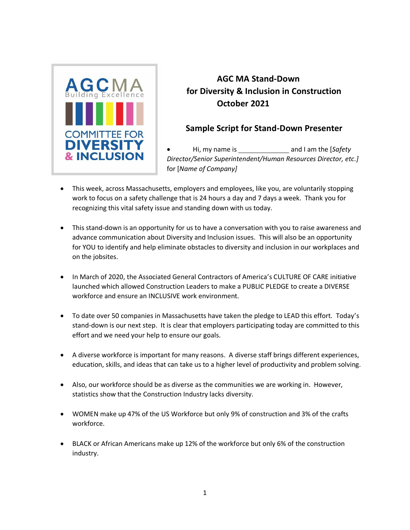

## **AGC MA Stand-Down for Diversity & Inclusion in Construction October 2021**

## **Sample Script for Stand-Down Presenter**

• Hi, my name is and I am the [*Safety Director/Senior Superintendent/Human Resources Director, etc.]*  for [*Name of Company]*

- This week, across Massachusetts, employers and employees, like you, are voluntarily stopping work to focus on a safety challenge that is 24 hours a day and 7 days a week. Thank you for recognizing this vital safety issue and standing down with us today.
- This stand-down is an opportunity for us to have a conversation with you to raise awareness and advance communication about Diversity and Inclusion issues. This will also be an opportunity for YOU to identify and help eliminate obstacles to diversity and inclusion in our workplaces and on the jobsites.
- In March of 2020, the Associated General Contractors of America's CULTURE OF CARE initiative launched which allowed Construction Leaders to make a PUBLIC PLEDGE to create a DIVERSE workforce and ensure an INCLUSIVE work environment.
- To date over 50 companies in Massachusetts have taken the pledge to LEAD this effort. Today's stand-down is our next step. It is clear that employers participating today are committed to this effort and we need your help to ensure our goals.
- A diverse workforce is important for many reasons. A diverse staff brings different experiences, education, skills, and ideas that can take us to a higher level of productivity and problem solving.
- Also, our workforce should be as diverse as the communities we are working in. However, statistics show that the Construction Industry lacks diversity.
- WOMEN make up 47% of the US Workforce but only 9% of construction and 3% of the crafts workforce.
- BLACK or African Americans make up 12% of the workforce but only 6% of the construction industry.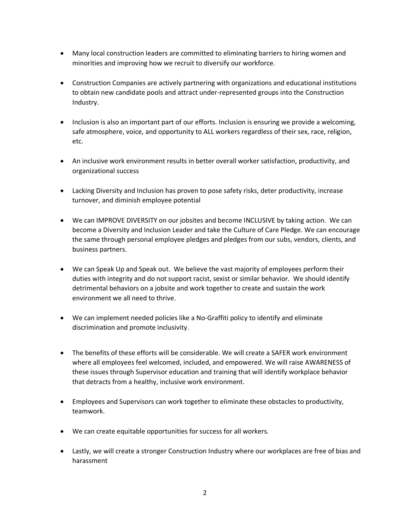- Many local construction leaders are committed to eliminating barriers to hiring women and minorities and improving how we recruit to diversify our workforce.
- Construction Companies are actively partnering with organizations and educational institutions to obtain new candidate pools and attract under-represented groups into the Construction Industry.
- Inclusion is also an important part of our efforts. Inclusion is ensuring we provide a welcoming, safe atmosphere, voice, and opportunity to ALL workers regardless of their sex, race, religion, etc.
- An inclusive work environment results in better overall worker satisfaction, productivity, and organizational success
- Lacking Diversity and Inclusion has proven to pose safety risks, deter productivity, increase turnover, and diminish employee potential
- We can IMPROVE DIVERSITY on our jobsites and become INCLUSIVE by taking action. We can become a Diversity and Inclusion Leader and take the Culture of Care Pledge. We can encourage the same through personal employee pledges and pledges from our subs, vendors, clients, and business partners.
- We can Speak Up and Speak out. We believe the vast majority of employees perform their duties with integrity and do not support racist, sexist or similar behavior. We should identify detrimental behaviors on a jobsite and work together to create and sustain the work environment we all need to thrive.
- We can implement needed policies like a No-Graffiti policy to identify and eliminate discrimination and promote inclusivity.
- The benefits of these efforts will be considerable. We will create a SAFER work environment where all employees feel welcomed, included, and empowered. We will raise AWARENESS of these issues through Supervisor education and training that will identify workplace behavior that detracts from a healthy, inclusive work environment.
- Employees and Supervisors can work together to eliminate these obstacles to productivity, teamwork.
- We can create equitable opportunities for success for all workers.
- Lastly, we will create a stronger Construction Industry where our workplaces are free of bias and harassment